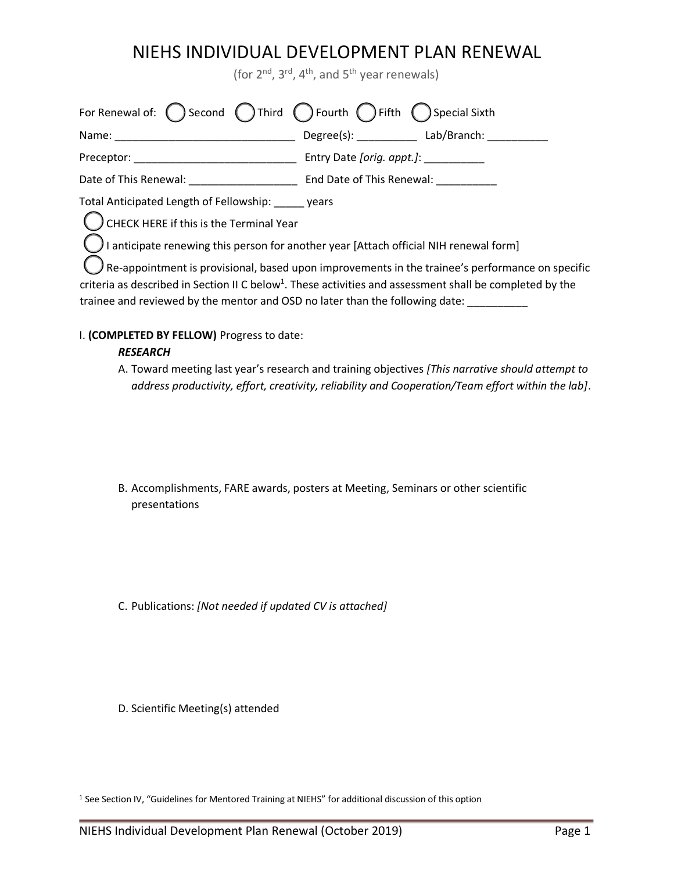(for  $2^{nd}$ ,  $3^{rd}$ ,  $4^{th}$ , and  $5^{th}$  year renewals)

| For Renewal of: $\bigcap$ Second $\bigcap$ Third $\bigcap$ Fourth $\bigcap$ Fifth $\bigcap$ Special Sixth                                                                                                                                                                                                      |                                            |  |
|----------------------------------------------------------------------------------------------------------------------------------------------------------------------------------------------------------------------------------------------------------------------------------------------------------------|--------------------------------------------|--|
|                                                                                                                                                                                                                                                                                                                | Degree(s): _____________ Lab/Branch: _____ |  |
|                                                                                                                                                                                                                                                                                                                |                                            |  |
|                                                                                                                                                                                                                                                                                                                |                                            |  |
| Total Anticipated Length of Fellowship: years                                                                                                                                                                                                                                                                  |                                            |  |
| C CHECK HERE if this is the Terminal Year                                                                                                                                                                                                                                                                      |                                            |  |
| I anticipate renewing this person for another year [Attach official NIH renewal form]                                                                                                                                                                                                                          |                                            |  |
| $\ell$ Re-appointment is provisional, based upon improvements in the trainee's performance on specific<br>criteria as described in Section II C below <sup>1</sup> . These activities and assessment shall be completed by the<br>trainee and reviewed by the mentor and OSD no later than the following date: |                                            |  |

### I. **(COMPLETED BY FELLOW)** Progress to date:

### *RESEARCH*

A. Toward meeting last year's research and training objectives *[This narrative should attempt to address productivity, effort, creativity, reliability and Cooperation/Team effort within the lab]*.

B. Accomplishments, FARE awards, posters at Meeting, Seminars or other scientific presentations

C. Publications: *[Not needed if updated CV is attached]*

D. Scientific Meeting(s) attended

<sup>1</sup> See Section IV, "Guidelines for Mentored Training at NIEHS" for additional discussion of this option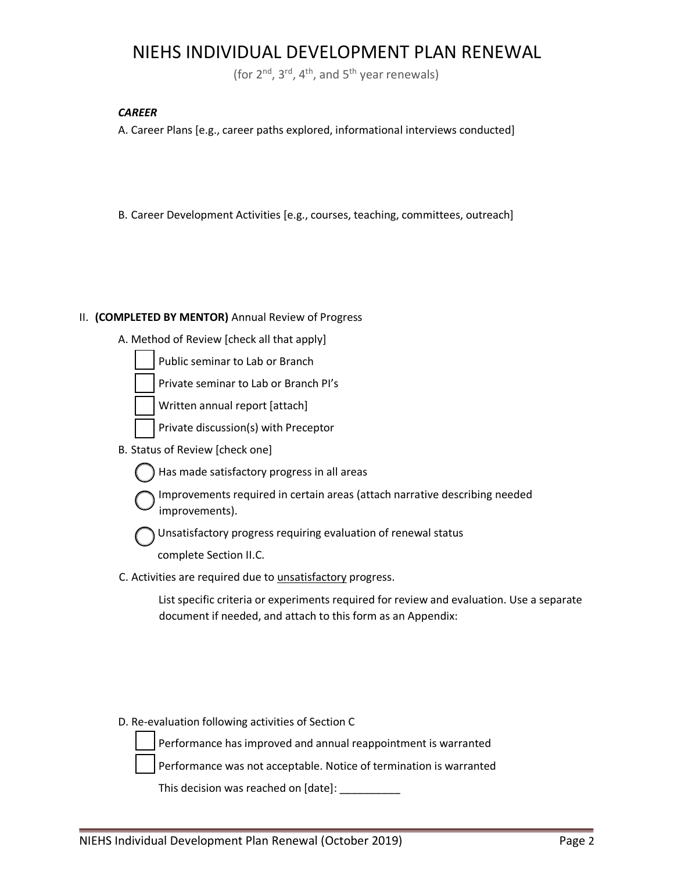(for  $2^{nd}$ ,  $3^{rd}$ ,  $4^{th}$ , and  $5^{th}$  year renewals)

#### *CAREER*

A. Career Plans [e.g., career paths explored, informational interviews conducted]

B. Career Development Activities [e.g., courses, teaching, committees, outreach]

### II. **(COMPLETED BY MENTOR)** Annual Review of Progress

A. Method of Review [check all that apply]

Public seminar to Lab or Branch

Private seminar to Lab or Branch PI's

Written annual report [attach]

- Private discussion(s) with Preceptor
- B. Status of Review [check one]
	- Has made satisfactory progress in all areas
	- Improvements required in certain areas (attach narrative describing needed improvements).

Unsatisfactory progress requiring evaluation of renewal status

complete Section II.C.

C. Activities are required due to unsatisfactory progress.

List specific criteria or experiments required for review and evaluation. Use a separate document if needed, and attach to this form as an Appendix:

D. Re-evaluation following activities of Section C

Performance has improved and annual reappointment is warranted

Performance was not acceptable. Notice of termination is warranted

This decision was reached on [date]: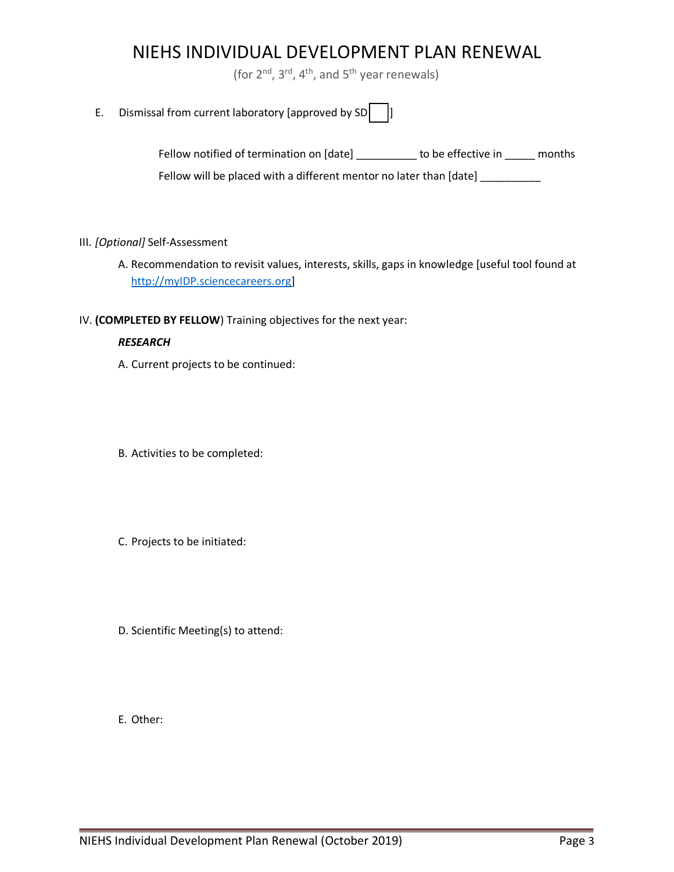(for  $2^{nd}$ ,  $3^{rd}$ ,  $4^{th}$ , and  $5^{th}$  year renewals)

E. Dismissal from current laboratory [approved by  $SD$ ]

| Fellow notified of termination on [date]                           | to be effective in<br>months |  |
|--------------------------------------------------------------------|------------------------------|--|
| Fellow will be placed with a different mentor no later than [date] |                              |  |

### III. *[Optional]* Self-Assessment

A. Recommendation to revisit values, interests, skills, gaps in knowledge [useful tool found at http://myIDP.sciencecareers.org]

### IV. **(COMPLETED BY FELLOW**) Training objectives for the next year:

### *RESEARCH*

- A. Current projects to be continued:
- B. Activities to be completed:
- C. Projects to be initiated:
- D. Scientific Meeting(s) to attend:

E. Other: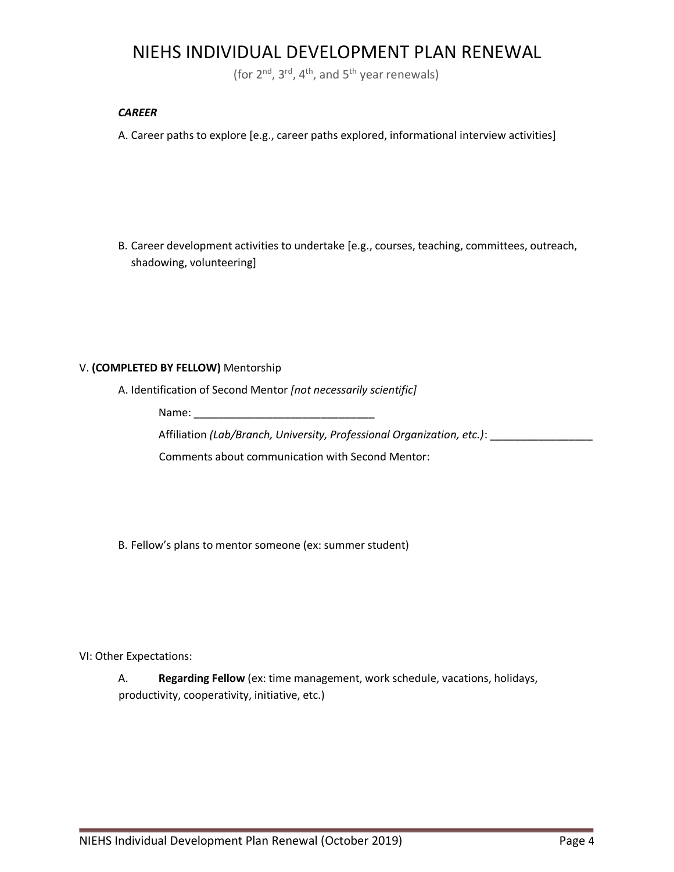(for  $2^{nd}$ ,  $3^{rd}$ ,  $4^{th}$ , and  $5^{th}$  year renewals)

#### *CAREER*

A. Career paths to explore [e.g., career paths explored, informational interview activities]

B. Career development activities to undertake [e.g., courses, teaching, committees, outreach, shadowing, volunteering]

### V. **(COMPLETED BY FELLOW)** Mentorship

A. Identification of Second Mentor *[not necessarily scientific]*

Name:

Affiliation *(Lab/Branch, University, Professional Organization, etc.)*: \_\_\_\_\_\_\_\_\_\_\_\_\_\_\_\_\_

Comments about communication with Second Mentor:

B. Fellow's plans to mentor someone (ex: summer student)

VI: Other Expectations:

A. **Regarding Fellow** (ex: time management, work schedule, vacations, holidays, productivity, cooperativity, initiative, etc.)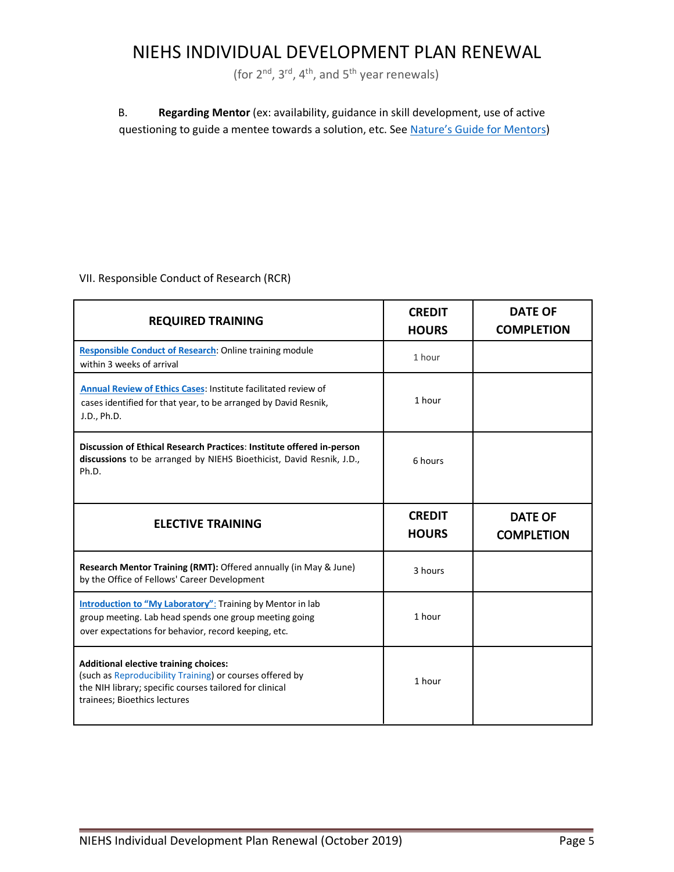(for  $2^{nd}$ ,  $3^{rd}$ ,  $4^{th}$ , and  $5^{th}$  year renewals)

 B. **Regarding Mentor** (ex: availability, guidance in skill development, use of active questioning to guide a mentee towards a solution, etc. See <u>[Nature's Guide for Mentors](https://www.nature.com/articles/447791a)</u>)

VII. Responsible Conduct of Research (RCR)

| <b>REQUIRED TRAINING</b>                                                                                                                                                                     | <b>CREDIT</b><br><b>HOURS</b> | <b>DATE OF</b><br><b>COMPLETION</b> |
|----------------------------------------------------------------------------------------------------------------------------------------------------------------------------------------------|-------------------------------|-------------------------------------|
| Responsible Conduct of Research: Online training module<br>within 3 weeks of arrival                                                                                                         | 1 hour                        |                                     |
| Annual Review of Ethics Cases: Institute facilitated review of<br>cases identified for that year, to be arranged by David Resnik,<br>J.D., Ph.D.                                             | 1 hour                        |                                     |
| Discussion of Ethical Research Practices: Institute offered in-person<br>discussions to be arranged by NIEHS Bioethicist, David Resnik, J.D.,<br>Ph.D.                                       | 6 hours                       |                                     |
| <b>ELECTIVE TRAINING</b>                                                                                                                                                                     | <b>CREDIT</b><br><b>HOURS</b> | <b>DATE OF</b><br><b>COMPLETION</b> |
| Research Mentor Training (RMT): Offered annually (in May & June)<br>by the Office of Fellows' Career Development                                                                             | 3 hours                       |                                     |
| <b>Introduction to "My Laboratory":</b> Training by Mentor in lab<br>group meeting. Lab head spends one group meeting going<br>over expectations for behavior, record keeping, etc.          | 1 hour                        |                                     |
| Additional elective training choices:<br>(such as Reproducibility Training) or courses offered by<br>the NIH library; specific courses tailored for clinical<br>trainees; Bioethics lectures | 1 hour                        |                                     |